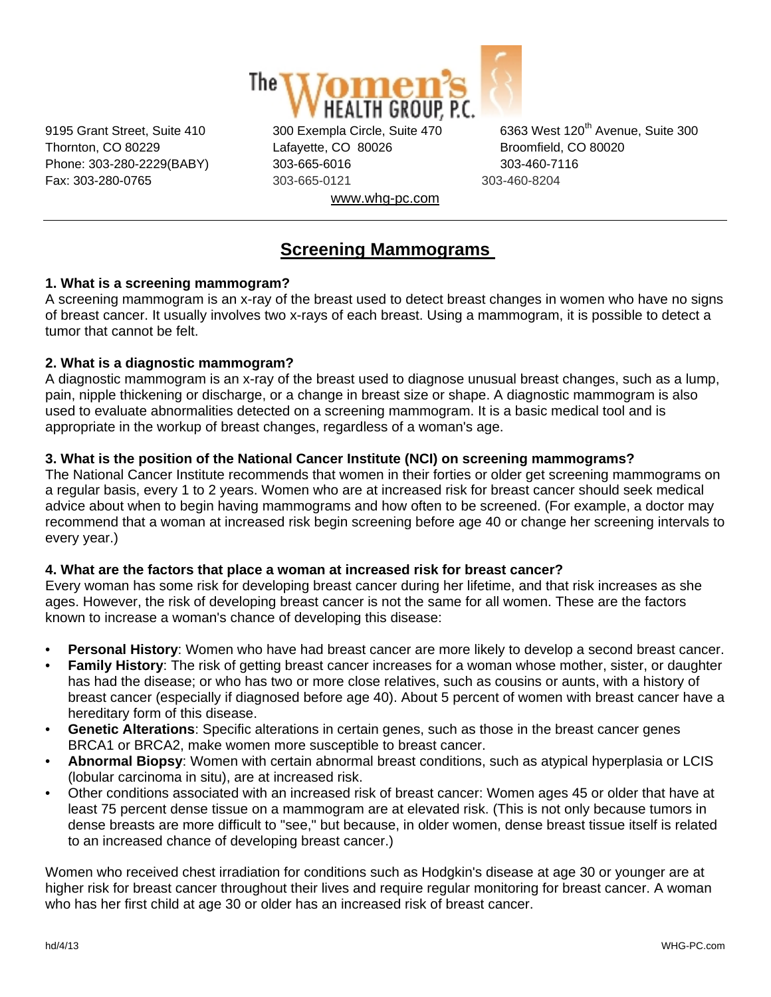

Thornton, CO 80229 Lafayette, CO 80026 Broomfield, CO 80020 Phone: 303-280-2229(BABY) 303-665-6016 303-460-7116 Fax: 303-280-0765 303-665-0121 303-460-8204 www.whg-pc.com

9195 Grant Street, Suite 410 300 Exempla Circle, Suite 470 6363 West 120<sup>th</sup> Avenue, Suite 300

# **Screening Mammograms**

# **1. What is a screening mammogram?**

A screening mammogram is an x-ray of the breast used to detect breast changes in women who have no signs of breast cancer. It usually involves two x-rays of each breast. Using a mammogram, it is possible to detect a tumor that cannot be felt.

# **2. What is a diagnostic mammogram?**

A diagnostic mammogram is an x-ray of the breast used to diagnose unusual breast changes, such as a lump, pain, nipple thickening or discharge, or a change in breast size or shape. A diagnostic mammogram is also used to evaluate abnormalities detected on a screening mammogram. It is a basic medical tool and is appropriate in the workup of breast changes, regardless of a woman's age.

# **3. What is the position of the National Cancer Institute (NCI) on screening mammograms?**

The National Cancer Institute recommends that women in their forties or older get screening mammograms on a regular basis, every 1 to 2 years. Women who are at increased risk for breast cancer should seek medical advice about when to begin having mammograms and how often to be screened. (For example, a doctor may recommend that a woman at increased risk begin screening before age 40 or change her screening intervals to every year.)

# **4. What are the factors that place a woman at increased risk for breast cancer?**

Every woman has some risk for developing breast cancer during her lifetime, and that risk increases as she ages. However, the risk of developing breast cancer is not the same for all women. These are the factors known to increase a woman's chance of developing this disease:

- **Personal History**: Women who have had breast cancer are more likely to develop a second breast cancer.
- **Family History**: The risk of getting breast cancer increases for a woman whose mother, sister, or daughter has had the disease; or who has two or more close relatives, such as cousins or aunts, with a history of breast cancer (especially if diagnosed before age 40). About 5 percent of women with breast cancer have a hereditary form of this disease.
- **Genetic Alterations**: Specific alterations in certain genes, such as those in the breast cancer genes BRCA1 or BRCA2, make women more susceptible to breast cancer.
- **Abnormal Biopsy**: Women with certain abnormal breast conditions, such as atypical hyperplasia or LCIS (lobular carcinoma in situ), are at increased risk.
- Other conditions associated with an increased risk of breast cancer: Women ages 45 or older that have at least 75 percent dense tissue on a mammogram are at elevated risk. (This is not only because tumors in dense breasts are more difficult to "see," but because, in older women, dense breast tissue itself is related to an increased chance of developing breast cancer.)

Women who received chest irradiation for conditions such as Hodgkin's disease at age 30 or younger are at higher risk for breast cancer throughout their lives and require regular monitoring for breast cancer. A woman who has her first child at age 30 or older has an increased risk of breast cancer.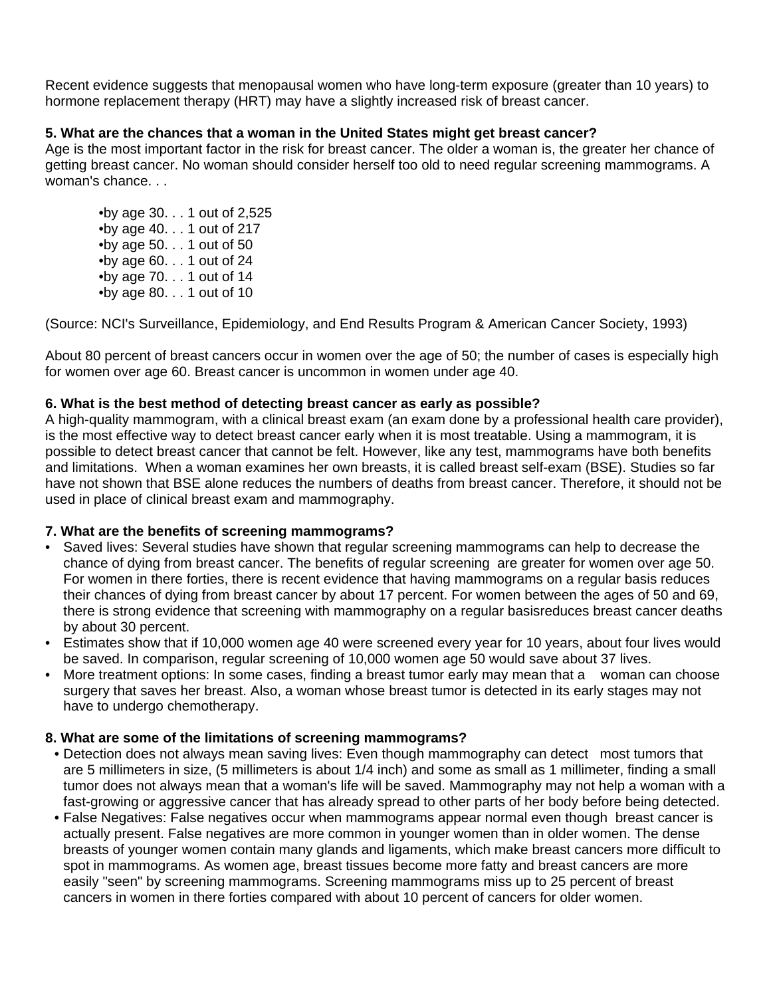Recent evidence suggests that menopausal women who have long-term exposure (greater than 10 years) to hormone replacement therapy (HRT) may have a slightly increased risk of breast cancer.

## **5. What are the chances that a woman in the United States might get breast cancer?**

Age is the most important factor in the risk for breast cancer. The older a woman is, the greater her chance of getting breast cancer. No woman should consider herself too old to need regular screening mammograms. A woman's chance. . .

 •by age 30. . . 1 out of 2,525 •by age 40. . . 1 out of 217  $\bullet$ by age 50.  $\ldots$  1 out of 50 •by age 60. . . 1 out of 24 •by age 70. . . 1 out of 14 •by age 80. . . 1 out of 10

(Source: NCI's Surveillance, Epidemiology, and End Results Program & American Cancer Society, 1993)

About 80 percent of breast cancers occur in women over the age of 50; the number of cases is especially high for women over age 60. Breast cancer is uncommon in women under age 40.

### **6. What is the best method of detecting breast cancer as early as possible?**

A high-quality mammogram, with a clinical breast exam (an exam done by a professional health care provider), is the most effective way to detect breast cancer early when it is most treatable. Using a mammogram, it is possible to detect breast cancer that cannot be felt. However, like any test, mammograms have both benefits and limitations. When a woman examines her own breasts, it is called breast self-exam (BSE). Studies so far have not shown that BSE alone reduces the numbers of deaths from breast cancer. Therefore, it should not be used in place of clinical breast exam and mammography.

#### **7. What are the benefits of screening mammograms?**

- Saved lives: Several studies have shown that regular screening mammograms can help to decrease the chance of dying from breast cancer. The benefits of regular screening are greater for women over age 50. For women in there forties, there is recent evidence that having mammograms on a regular basis reduces their chances of dying from breast cancer by about 17 percent. For women between the ages of 50 and 69, there is strong evidence that screening with mammography on a regular basisreduces breast cancer deaths by about 30 percent.
- Estimates show that if 10,000 women age 40 were screened every year for 10 years, about four lives would be saved. In comparison, regular screening of 10,000 women age 50 would save about 37 lives.
- More treatment options: In some cases, finding a breast tumor early may mean that a woman can choose surgery that saves her breast. Also, a woman whose breast tumor is detected in its early stages may not have to undergo chemotherapy.

#### **8. What are some of the limitations of screening mammograms?**

- Detection does not always mean saving lives: Even though mammography can detect most tumors that are 5 millimeters in size, (5 millimeters is about 1/4 inch) and some as small as 1 millimeter, finding a small tumor does not always mean that a woman's life will be saved. Mammography may not help a woman with a fast-growing or aggressive cancer that has already spread to other parts of her body before being detected.
- False Negatives: False negatives occur when mammograms appear normal even though breast cancer is actually present. False negatives are more common in younger women than in older women. The dense breasts of younger women contain many glands and ligaments, which make breast cancers more difficult to spot in mammograms. As women age, breast tissues become more fatty and breast cancers are more easily "seen" by screening mammograms. Screening mammograms miss up to 25 percent of breast cancers in women in there forties compared with about 10 percent of cancers for older women.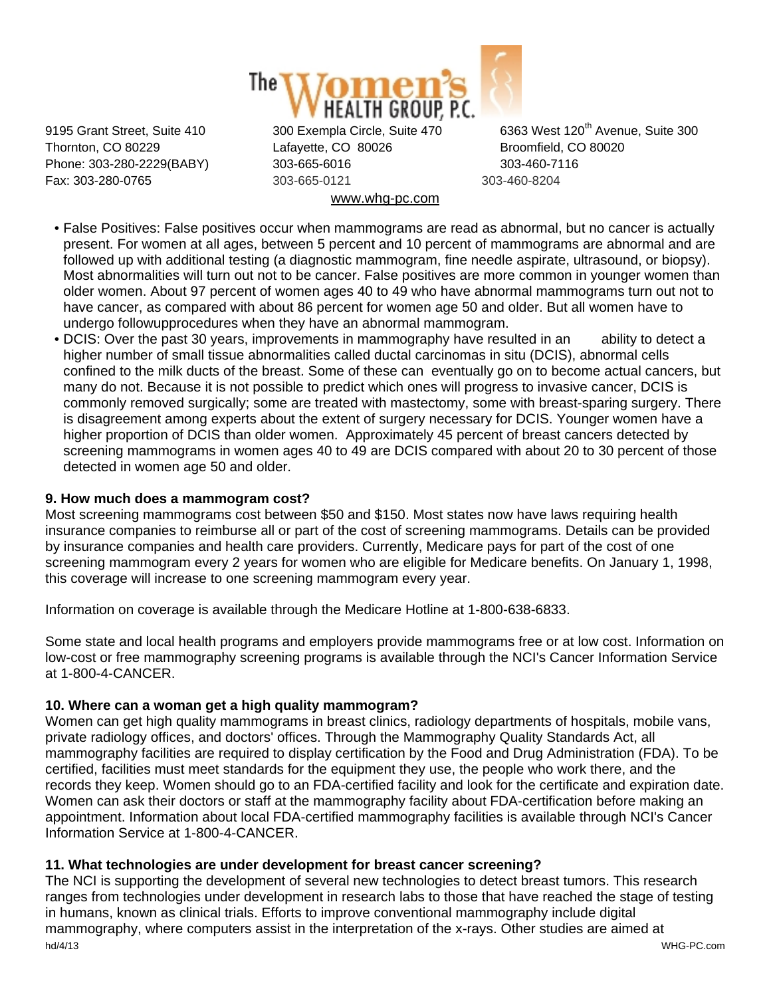

Thornton, CO 80229 Lafayette, CO 80026 Broomfield, CO 80020 Phone: 303-280-2229(BABY) 303-665-6016 303-460-7116 Fax: 303-280-0765 303-665-0121 303-460-8204 www.whg-pc.com

9195 Grant Street, Suite 410 300 Exempla Circle, Suite 470 6363 West 120<sup>th</sup> Avenue, Suite 300

- False Positives: False positives occur when mammograms are read as abnormal, but no cancer is actually present. For women at all ages, between 5 percent and 10 percent of mammograms are abnormal and are followed up with additional testing (a diagnostic mammogram, fine needle aspirate, ultrasound, or biopsy). Most abnormalities will turn out not to be cancer. False positives are more common in younger women than older women. About 97 percent of women ages 40 to 49 who have abnormal mammograms turn out not to have cancer, as compared with about 86 percent for women age 50 and older. But all women have to undergo followupprocedures when they have an abnormal mammogram.
- DCIS: Over the past 30 years, improvements in mammography have resulted in an ability to detect a higher number of small tissue abnormalities called ductal carcinomas in situ (DCIS), abnormal cells confined to the milk ducts of the breast. Some of these can eventually go on to become actual cancers, but many do not. Because it is not possible to predict which ones will progress to invasive cancer, DCIS is commonly removed surgically; some are treated with mastectomy, some with breast-sparing surgery. There is disagreement among experts about the extent of surgery necessary for DCIS. Younger women have a higher proportion of DCIS than older women. Approximately 45 percent of breast cancers detected by screening mammograms in women ages 40 to 49 are DCIS compared with about 20 to 30 percent of those detected in women age 50 and older.

# **9. How much does a mammogram cost?**

Most screening mammograms cost between \$50 and \$150. Most states now have laws requiring health insurance companies to reimburse all or part of the cost of screening mammograms. Details can be provided by insurance companies and health care providers. Currently, Medicare pays for part of the cost of one screening mammogram every 2 years for women who are eligible for Medicare benefits. On January 1, 1998, this coverage will increase to one screening mammogram every year.

Information on coverage is available through the Medicare Hotline at 1-800-638-6833.

Some state and local health programs and employers provide mammograms free or at low cost. Information on low-cost or free mammography screening programs is available through the NCI's Cancer Information Service at 1-800-4-CANCER.

#### **10. Where can a woman get a high quality mammogram?**

Women can get high quality mammograms in breast clinics, radiology departments of hospitals, mobile vans, private radiology offices, and doctors' offices. Through the Mammography Quality Standards Act, all mammography facilities are required to display certification by the Food and Drug Administration (FDA). To be certified, facilities must meet standards for the equipment they use, the people who work there, and the records they keep. Women should go to an FDA-certified facility and look for the certificate and expiration date. Women can ask their doctors or staff at the mammography facility about FDA-certification before making an appointment. Information about local FDA-certified mammography facilities is available through NCI's Cancer Information Service at 1-800-4-CANCER.

#### **11. What technologies are under development for breast cancer screening?**

hd/4/13 WHG-PC.com The NCI is supporting the development of several new technologies to detect breast tumors. This research ranges from technologies under development in research labs to those that have reached the stage of testing in humans, known as clinical trials. Efforts to improve conventional mammography include digital mammography, where computers assist in the interpretation of the x-rays. Other studies are aimed at